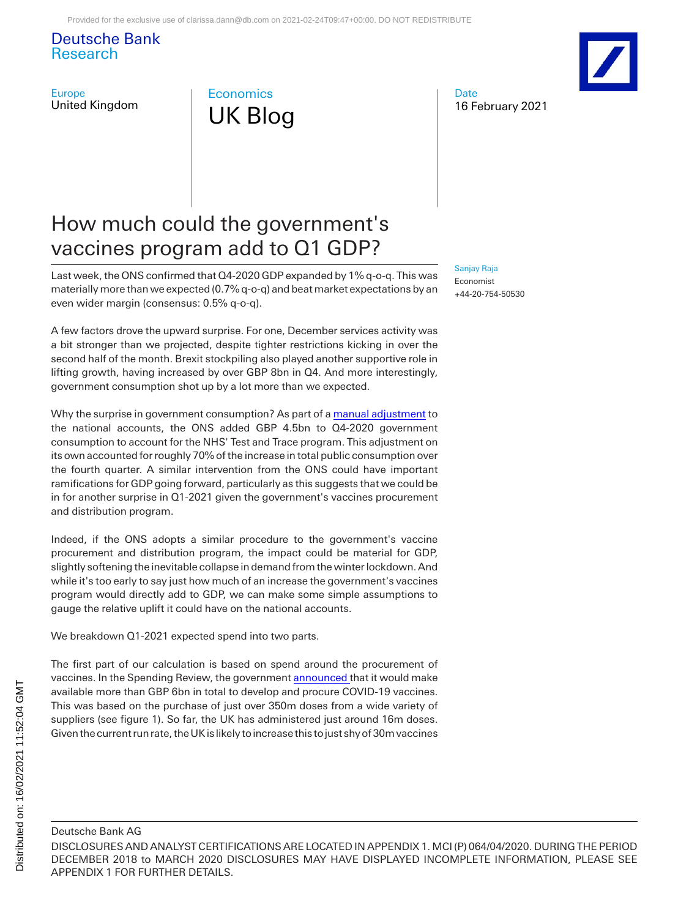Deutsche Bank Research

Europe United Kingdom



## How much could the government's vaccines program add to Q1 GDP?

Last week, the ONS confirmed that Q4-2020 GDP expanded by 1% q-o-q. This was materially more than we expected (0.7% q-o-q) and beat market expectations by an even wider margin (consensus: 0.5% q-o-q).

A few factors drove the upward surprise. For one, December services activity was a bit stronger than we projected, despite tighter restrictions kicking in over the second half of the month. Brexit stockpiling also played another supportive role in lifting growth, having increased by over GBP 8bn in Q4. And more interestingly, government consumption shot up by a lot more than we expected.

Why the surprise in government consumption? As part of [a manual adjustment](https://www.ons.gov.uk/economy/grossdomesticproductgdp/bulletins/gdpfirstquarterlyestimateuk/octobertodecember2020) to the national accounts, the ONS added GBP 4.5bn to Q4-2020 government consumption to account for the NHS' Test and Trace program. This adjustment on its own accounted for roughly 70% of the increase in total public consumption over the fourth quarter. A similar intervention from the ONS could have important ramifications for GDP going forward, particularly as this suggests that we could be in for another surprise in Q1-2021 given the government's vaccines procurement and distribution program.

Indeed, if the ONS adopts a similar procedure to the government's vaccine procurement and distribution program, the impact could be material for GDP, slightly softening the inevitable collapse in demand from the winter lockdown. And while it's too early to say just how much of an increase the government's vaccines program would directly add to GDP, we can make some simple assumptions to gauge the relative uplift it could have on the national accounts.

We breakdown Q1-2021 expected spend into two parts.

The first part of our calculation is based on spend around the procurement of vaccines. In the Spending Review, the government [announced t](https://assets.publishing.service.gov.uk/government/uploads/system/uploads/attachment_data/file/951928/uk-covid-19-vaccines-delivery-plan-final.pdf)hat it would make available more than GBP 6bn in total to develop and procure COVID-19 vaccines. This was based on the purchase of just over 350m doses from a wide variety of suppliers (see figure 1). So far, the UK has administered just around 16m doses. Given the current run rate, the UK is likely to increase this to just shy of 30m vaccines

#### [Sanjay Raja](mailto:sanjay.raja@db.com) Economist

+44-20-754-50530

16 February 2021

**Date** 



DISCLOSURES AND ANALYST CERTIFICATIONS ARE LOCATED IN APPENDIX 1. MCI (P) 064/04/2020. DURING THE PERIOD DECEMBER 2018 to MARCH 2020 DISCLOSURES MAY HAVE DISPLAYED INCOMPLETE INFORMATION, PLEASE SEE APPENDIX 1 FOR FURTHER DETAILS.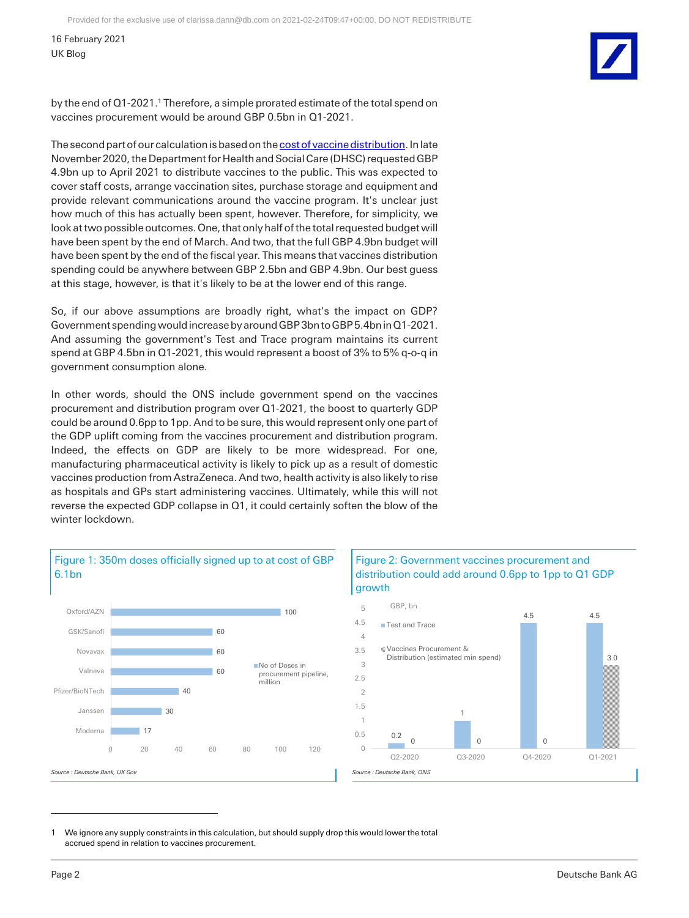16 February 2021 UK Blog

by the end of Q1-2021.<sup>1</sup> Therefore, a simple prorated estimate of the total spend on vaccines procurement would be around GBP 0.5bn in Q1-2021.

The second part of our calculation is based on th[e cost of vaccine distribution.](https://www.nao.org.uk/wp-content/uploads/2020/12/Investigation-into-preparations-for-potential-COVID-19-vaccines.pdf) In late November 2020, the Department for Health and Social Care (DHSC) requested GBP 4.9bn up to April 2021 to distribute vaccines to the public. This was expected to cover staff costs, arrange vaccination sites, purchase storage and equipment and provide relevant communications around the vaccine program. It's unclear just how much of this has actually been spent, however. Therefore, for simplicity, we look at two possible outcomes. One, that only half of the total requested budget will have been spent by the end of March. And two, that the full GBP 4.9bn budget will have been spent by the end of the fiscal year. This means that vaccines distribution spending could be anywhere between GBP 2.5bn and GBP 4.9bn. Our best guess at this stage, however, is that it's likely to be at the lower end of this range.

So, if our above assumptions are broadly right, what's the impact on GDP? Government spending would increase by around GBP 3bn to GBP 5.4bn in Q1-2021. And assuming the government's Test and Trace program maintains its current spend at GBP 4.5bn in Q1-2021, this would represent a boost of 3% to 5% q-o-q in government consumption alone.

In other words, should the ONS include government spend on the vaccines procurement and distribution program over Q1-2021, the boost to quarterly GDP could be around 0.6pp to 1pp. And to be sure, this would represent only one part of the GDP uplift coming from the vaccines procurement and distribution program. Indeed, the effects on GDP are likely to be more widespread. For one, manufacturing pharmaceutical activity is likely to pick up as a result of domestic vaccines production from AstraZeneca. And two, health activity is also likely to rise as hospitals and GPs start administering vaccines. Ultimately, while this will not reverse the expected GDP collapse in Q1, it could certainly soften the blow of the winter lockdown.



#### Figure 2: Government vaccines procurement and distribution could add around 0.6pp to 1pp to Q1 GDP growth



1 We ignore any supply constraints in this calculation, but should supply drop this would lower the total accrued spend in relation to vaccines procurement.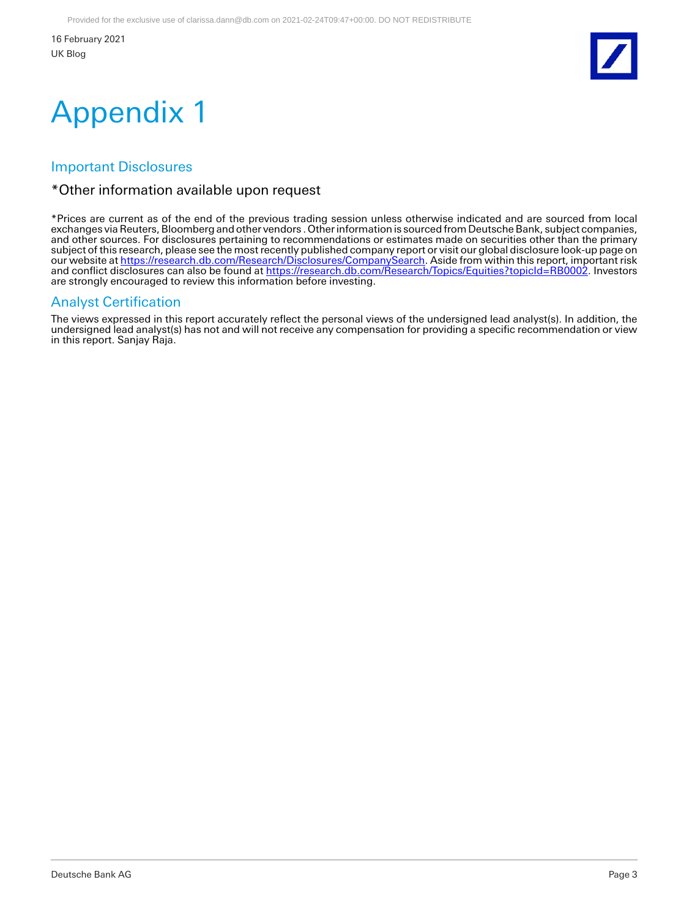16 February 2021 UK Blog



# Appendix 1

## Important Disclosures

### \*Other information available upon request

\*Prices are current as of the end of the previous trading session unless otherwise indicated and are sourced from local exchanges via Reuters, Bloomberg and other vendors . Other information is sourced from Deutsche Bank, subject companies, and other sources. For disclosures pertaining to recommendations or estimates made on securities other than the primary subject of this research, please see the most recently published company report or visit our global disclosure look-up page on our website at <u>https://research.db.com/Research/Disclosures/CompanySearch</u>. Aside from within this report, important risk and conflict disclosures can also be found at <u>https://research.db.com/Research/Topics/Equities?topicId=RB0002</u>. Investors are strongly encouraged to review this information before investing.

## Analyst Certification

The views expressed in this report accurately reflect the personal views of the undersigned lead analyst(s). In addition, the undersigned lead analyst(s) has not and will not receive any compensation for providing a specific recommendation or view in this report. Sanjay Raja.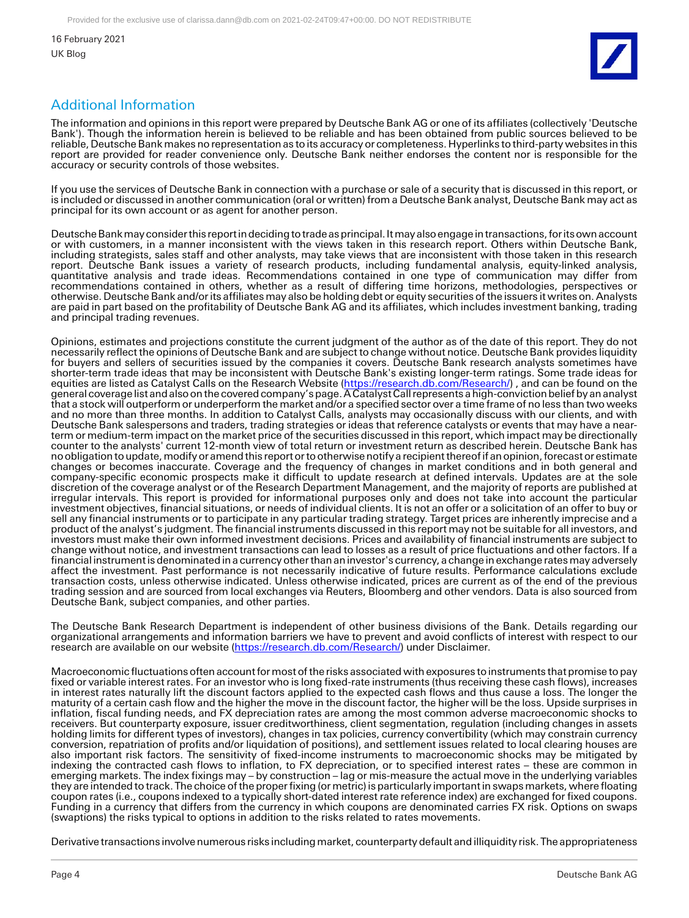16 February 2021 UK Blog



## Additional Information

The information and opinions in this report were prepared by Deutsche Bank AG or one of its affiliates (collectively 'Deutsche Bank'). Though the information herein is believed to be reliable and has been obtained from public sources believed to be reliable, Deutsche Bank makes no representation as to its accuracy or completeness. Hyperlinks to third-party websites in this report are provided for reader convenience only. Deutsche Bank neither endorses the content nor is responsible for the accuracy or security controls of those websites.

If you use the services of Deutsche Bank in connection with a purchase or sale of a security that is discussed in this report, or is included or discussed in another communication (oral or written) from a Deutsche Bank analyst, Deutsche Bank may act as principal for its own account or as agent for another person.

Deutsche Bank may consider this report in deciding to trade as principal. It may also engage in transactions, for its own account or with customers, in a manner inconsistent with the views taken in this research report. Others within Deutsche Bank, including strategists, sales staff and other analysts, may take views that are inconsistent with those taken in this research report. Deutsche Bank issues a variety of research products, including fundamental analysis, equity-linked analysis, quantitative analysis and trade ideas. Recommendations contained in one type of communication may differ from recommendations contained in others, whether as a result of differing time horizons, methodologies, perspectives or otherwise. Deutsche Bank and/or its affiliates may also be holding debt or equity securities of the issuers it writes on. Analysts are paid in part based on the profitability of Deutsche Bank AG and its affiliates, which includes investment banking, trading and principal trading revenues.

Opinions, estimates and projections constitute the current judgment of the author as of the date of this report. They do not necessarily reflect the opinions of Deutsche Bank and are subject to change without notice. Deutsche Bank provides liquidity for buyers and sellers of securities issued by the companies it covers. Deutsche Bank research analysts sometimes have shorter-term trade ideas that may be inconsistent with Deutsche Bank's existing longer-term ratings. Some trade ideas for equities are listed as Catalyst Calls on the Research Website [\(https://research.db.com/Research/\)](https://research.db.com/Research/), and can be found on the general coverage list and also on the covered company's page. A Catalyst Call represents a high-conviction belief by an analyst that a stock will outperform or underperform the market and/or a specified sector over a time frame of no less than two weeks and no more than three months. In addition to Catalyst Calls, analysts may occasionally discuss with our clients, and with Deutsche Bank salespersons and traders, trading strategies or ideas that reference catalysts or events that may have a nearterm or medium-term impact on the market price of the securities discussed in this report, which impact may be directionally counter to the analysts' current 12-month view of total return or investment return as described herein. Deutsche Bank has no obligation to update, modify or amend this report or to otherwise notify a recipient thereof if an opinion, forecast or estimate changes or becomes inaccurate. Coverage and the frequency of changes in market conditions and in both general and company-specific economic prospects make it difficult to update research at defined intervals. Updates are at the sole discretion of the coverage analyst or of the Research Department Management, and the majority of reports are published at irregular intervals. This report is provided for informational purposes only and does not take into account the particular investment objectives, financial situations, or needs of individual clients. It is not an offer or a solicitation of an offer to buy or sell any financial instruments or to participate in any particular trading strategy. Target prices are inherently imprecise and a product of the analyst's judgment. The financial instruments discussed in this report may not be suitable for all investors, and investors must make their own informed investment decisions. Prices and availability of financial instruments are subject to change without notice, and investment transactions can lead to losses as a result of price fluctuations and other factors. If a financial instrument is denominated in a currency other than an investor's currency, a change in exchange rates may adversely affect the investment. Past performance is not necessarily indicative of future results. Performance calculations exclude transaction costs, unless otherwise indicated. Unless otherwise indicated, prices are current as of the end of the previous trading session and are sourced from local exchanges via Reuters, Bloomberg and other vendors. Data is also sourced from Deutsche Bank, subject companies, and other parties.

The Deutsche Bank Research Department is independent of other business divisions of the Bank. Details regarding our organizational arrangements and information barriers we have to prevent and avoid conflicts of interest with respect to our research are available on our website [\(https://research.db.com/Research/\)](https://research.db.com/Research/) under Disclaimer.

Macroeconomic fluctuations often account for most of the risks associated with exposures to instruments that promise to pay fixed or variable interest rates. For an investor who is long fixed-rate instruments (thus receiving these cash flows), increases in interest rates naturally lift the discount factors applied to the expected cash flows and thus cause a loss. The longer the maturity of a certain cash flow and the higher the move in the discount factor, the higher will be the loss. Upside surprises in inflation, fiscal funding needs, and FX depreciation rates are among the most common adverse macroeconomic shocks to receivers. But counterparty exposure, issuer creditworthiness, client segmentation, regulation (including changes in assets holding limits for different types of investors), changes in tax policies, currency convertibility (which may constrain currency conversion, repatriation of profits and/or liquidation of positions), and settlement issues related to local clearing houses are also important risk factors. The sensitivity of fixed-income instruments to macroeconomic shocks may be mitigated by indexing the contracted cash flows to inflation, to FX depreciation, or to specified interest rates – these are common in emerging markets. The index fixings may – by construction – lag or mis-measure the actual move in the underlying variables they are intended to track. The choice of the proper fixing (or metric) is particularly important in swaps markets, where floating coupon rates (i.e., coupons indexed to a typically short-dated interest rate reference index) are exchanged for fixed coupons. Funding in a currency that differs from the currency in which coupons are denominated carries FX risk. Options on swaps (swaptions) the risks typical to options in addition to the risks related to rates movements.

Derivative transactions involve numerous risks including market, counterparty default and illiquidity risk. The appropriateness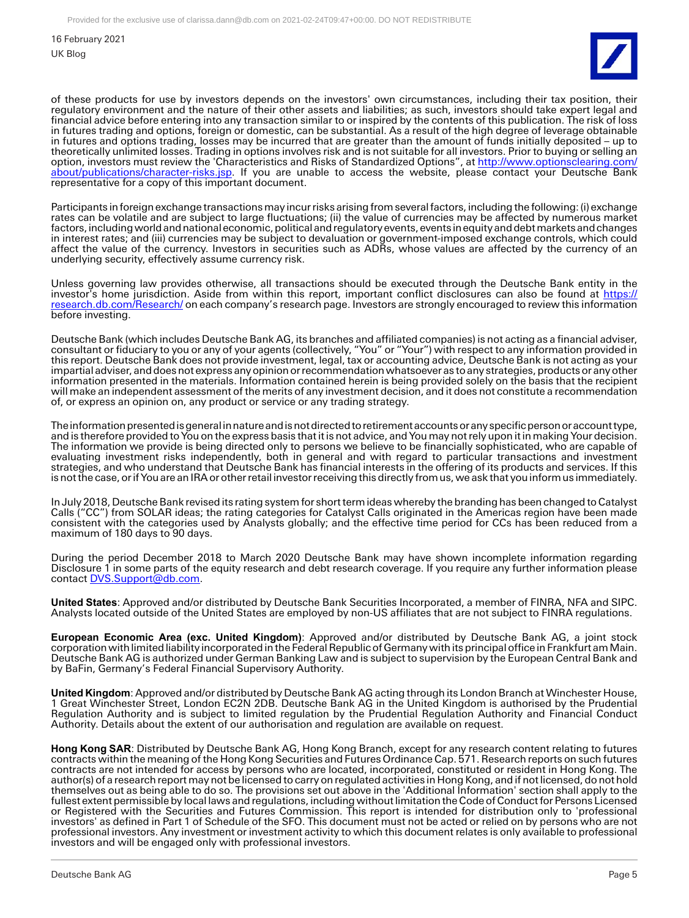16 February 2021

UK Blog



of these products for use by investors depends on the investors' own circumstances, including their tax position, their regulatory environment and the nature of their other assets and liabilities; as such, investors should take expert legal and financial advice before entering into any transaction similar to or inspired by the contents of this publication. The risk of loss in futures trading and options, foreign or domestic, can be substantial. As a result of the high degree of leverage obtainable in futures and options trading, losses may be incurred that are greater than the amount of funds initially deposited – up to theoretically unlimited losses. Trading in options involves risk and is not suitable for all investors. Prior to buying or selling an option, investors must review the 'Characteristics and Risks of Standardized Options", at [http://www.optionsclearing.com/](http://www.optionsclearing.com/about/publications/character-risks.jsp) [about/publications/character-risks.jsp.](http://www.optionsclearing.com/about/publications/character-risks.jsp) If you are unable to access the website, please contact your Deutsche Bank representative for a copy of this important document.

Participants in foreign exchange transactions may incur risks arising from several factors, including the following: (i) exchange rates can be volatile and are subject to large fluctuations; (ii) the value of currencies may be affected by numerous market factors, including world and national economic, political and regulatory events, events in equity and debt markets and changes in interest rates; and (iii) currencies may be subject to devaluation or government-imposed exchange controls, which could affect the value of the currency. Investors in securities such as ADRs, whose values are affected by the currency of an underlying security, effectively assume currency risk.

Unless governing law provides otherwise, all transactions should be executed through the Deutsche Bank entity in the investor's home jurisdiction. Aside from within this report, important conflict disclosures can also be found at [https://](https://research.db.com/Research/) [research.db.com/Research/](https://research.db.com/Research/) on each company's research page. Investors are strongly encouraged to review this information before investing.

Deutsche Bank (which includes Deutsche Bank AG, its branches and affiliated companies) is not acting as a financial adviser, consultant or fiduciary to you or any of your agents (collectively, "You" or "Your") with respect to any information provided in this report. Deutsche Bank does not provide investment, legal, tax or accounting advice, Deutsche Bank is not acting as your impartial adviser, and does not express any opinion or recommendation whatsoever as to any strategies, products or any other information presented in the materials. Information contained herein is being provided solely on the basis that the recipient will make an independent assessment of the merits of any investment decision, and it does not constitute a recommendation of, or express an opinion on, any product or service or any trading strategy.

The information presented is general in nature and is not directed to retirement accounts or any specific person or account type, and is therefore provided to You on the express basis that it is not advice, and You may not rely upon it in making Your decision. The information we provide is being directed only to persons we believe to be financially sophisticated, who are capable of evaluating investment risks independently, both in general and with regard to particular transactions and investment strategies, and who understand that Deutsche Bank has financial interests in the offering of its products and services. If this is not the case, or if You are an IRA or other retail investor receiving this directly from us, we ask that you inform us immediately.

In July 2018, Deutsche Bank revised its rating system for short term ideas whereby the branding has been changed to Catalyst Calls ("CC") from SOLAR ideas; the rating categories for Catalyst Calls originated in the Americas region have been made consistent with the categories used by Analysts globally; and the effective time period for CCs has been reduced from a maximum of 180 days to 90 days.

During the period December 2018 to March 2020 Deutsche Bank may have shown incomplete information regarding Disclosure 1 in some parts of the equity research and debt research coverage. If you require any further information please contact [DVS.Support@db.com.](mailto:DVS.Support@db.com)

**United States**: Approved and/or distributed by Deutsche Bank Securities Incorporated, a member of FINRA, NFA and SIPC. Analysts located outside of the United States are employed by non-US affiliates that are not subject to FINRA regulations.

**European Economic Area (exc. United Kingdom)**: Approved and/or distributed by Deutsche Bank AG, a joint stock corporation with limited liability incorporated in the Federal Republic of Germany with its principal office in Frankfurt am Main. Deutsche Bank AG is authorized under German Banking Law and is subject to supervision by the European Central Bank and by BaFin, Germany's Federal Financial Supervisory Authority.

**United Kingdom**: Approved and/or distributed by Deutsche Bank AG acting through its London Branch at Winchester House, 1 Great Winchester Street, London EC2N 2DB. Deutsche Bank AG in the United Kingdom is authorised by the Prudential Regulation Authority and is subject to limited regulation by the Prudential Regulation Authority and Financial Conduct Authority. Details about the extent of our authorisation and regulation are available on request.

**Hong Kong SAR**: Distributed by Deutsche Bank AG, Hong Kong Branch, except for any research content relating to futures contracts within the meaning of the Hong Kong Securities and Futures Ordinance Cap. 571. Research reports on such futures contracts are not intended for access by persons who are located, incorporated, constituted or resident in Hong Kong. The author(s) of a research report may not be licensed to carry on regulated activities in Hong Kong, and if not licensed, do not hold themselves out as being able to do so. The provisions set out above in the 'Additional Information' section shall apply to the fullest extent permissible by local laws and regulations, including without limitation the Code of Conduct for Persons Licensed or Registered with the Securities and Futures Commission. This report is intended for distribution only to 'professional investors' as defined in Part 1 of Schedule of the SFO. This document must not be acted or relied on by persons who are not professional investors. Any investment or investment activity to which this document relates is only available to professional investors and will be engaged only with professional investors.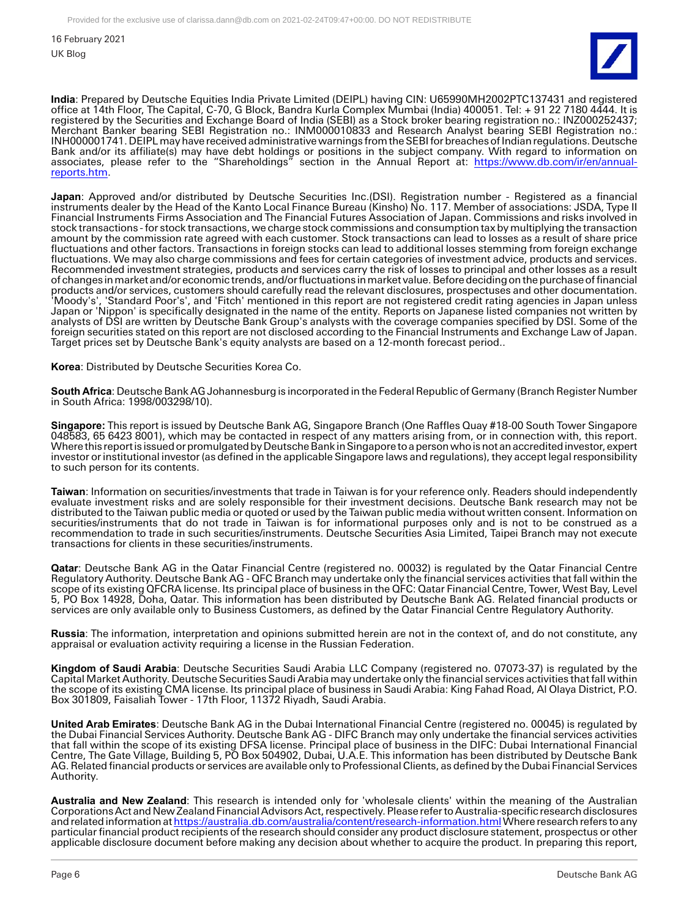16 February 2021

UK Blog



**India**: Prepared by Deutsche Equities India Private Limited (DEIPL) having CIN: U65990MH2002PTC137431 and registered office at 14th Floor, The Capital, C-70, G Block, Bandra Kurla Complex Mumbai (India) 400051. Tel: + 91 22 7180 4444. It is registered by the Securities and Exchange Board of India (SEBI) as a Stock broker bearing registration no.: INZ000252437; Merchant Banker bearing SEBI Registration no.: INM000010833 and Research Analyst bearing SEBI Registration no.: INH000001741. DEIPL may have received administrative warnings from the SEBI for breaches of Indian regulations. Deutsche Bank and/or its affiliate(s) may have debt holdings or positions in the subject company. With regard to information on associates, please refer to the "Shareholdings" section in the Annual Report at: [https://www.db.com/ir/en/annual](https://www.db.com/ir/en/annual-reports.htm)[reports.htm.](https://www.db.com/ir/en/annual-reports.htm)

**Japan**: Approved and/or distributed by Deutsche Securities Inc.(DSI). Registration number - Registered as a financial instruments dealer by the Head of the Kanto Local Finance Bureau (Kinsho) No. 117. Member of associations: JSDA, Type II Financial Instruments Firms Association and The Financial Futures Association of Japan. Commissions and risks involved in stock transactions - for stock transactions, we charge stock commissions and consumption tax by multiplying the transaction amount by the commission rate agreed with each customer. Stock transactions can lead to losses as a result of share price fluctuations and other factors. Transactions in foreign stocks can lead to additional losses stemming from foreign exchange fluctuations. We may also charge commissions and fees for certain categories of investment advice, products and services. Recommended investment strategies, products and services carry the risk of losses to principal and other losses as a result of changes in market and/or economic trends, and/or fluctuations in market value. Before deciding on the purchase of financial products and/or services, customers should carefully read the relevant disclosures, prospectuses and other documentation. 'Moody's', 'Standard Poor's', and 'Fitch' mentioned in this report are not registered credit rating agencies in Japan unless Japan or 'Nippon' is specifically designated in the name of the entity. Reports on Japanese listed companies not written by analysts of DSI are written by Deutsche Bank Group's analysts with the coverage companies specified by DSI. Some of the foreign securities stated on this report are not disclosed according to the Financial Instruments and Exchange Law of Japan. Target prices set by Deutsche Bank's equity analysts are based on a 12-month forecast period..

**Korea**: Distributed by Deutsche Securities Korea Co.

**South Africa**: Deutsche Bank AG Johannesburg is incorporated in the Federal Republic of Germany (Branch Register Number in South Africa: 1998/003298/10).

**Singapore:** This report is issued by Deutsche Bank AG, Singapore Branch (One Raffles Quay #18-00 South Tower Singapore 048583, 65 6423 8001), which may be contacted in respect of any matters arising from, or in connection with, this report. Where this report is issued or promulgated by Deutsche Bank in Singapore to a person who is not an accredited investor, expert investor or institutional investor (as defined in the applicable Singapore laws and regulations), they accept legal responsibility to such person for its contents.

**Taiwan**: Information on securities/investments that trade in Taiwan is for your reference only. Readers should independently evaluate investment risks and are solely responsible for their investment decisions. Deutsche Bank research may not be distributed to the Taiwan public media or quoted or used by the Taiwan public media without written consent. Information on securities/instruments that do not trade in Taiwan is for informational purposes only and is not to be construed as a recommendation to trade in such securities/instruments. Deutsche Securities Asia Limited, Taipei Branch may not execute transactions for clients in these securities/instruments.

**Qatar**: Deutsche Bank AG in the Qatar Financial Centre (registered no. 00032) is regulated by the Qatar Financial Centre Regulatory Authority. Deutsche Bank AG - QFC Branch may undertake only the financial services activities that fall within the scope of its existing QFCRA license. Its principal place of business in the QFC: Qatar Financial Centre, Tower, West Bay, Level 5, PO Box 14928, Doha, Qatar. This information has been distributed by Deutsche Bank AG. Related financial products or services are only available only to Business Customers, as defined by the Qatar Financial Centre Regulatory Authority.

**Russia**: The information, interpretation and opinions submitted herein are not in the context of, and do not constitute, any appraisal or evaluation activity requiring a license in the Russian Federation.

**Kingdom of Saudi Arabia**: Deutsche Securities Saudi Arabia LLC Company (registered no. 07073-37) is regulated by the Capital Market Authority. Deutsche Securities Saudi Arabia may undertake only the financial services activities that fall within the scope of its existing CMA license. Its principal place of business in Saudi Arabia: King Fahad Road, Al Olaya District, P.O. Box 301809, Faisaliah Tower - 17th Floor, 11372 Riyadh, Saudi Arabia.

**United Arab Emirates**: Deutsche Bank AG in the Dubai International Financial Centre (registered no. 00045) is regulated by the Dubai Financial Services Authority. Deutsche Bank AG - DIFC Branch may only undertake the financial services activities that fall within the scope of its existing DFSA license. Principal place of business in the DIFC: Dubai International Financial Centre, The Gate Village, Building 5, PO Box 504902, Dubai, U.A.E. This information has been distributed by Deutsche Bank AG. Related financial products or services are available only to Professional Clients, as defined by the Dubai Financial Services Authority.

**Australia and New Zealand**: This research is intended only for 'wholesale clients' within the meaning of the Australian Corporations Act and New Zealand Financial Advisors Act, respectively. Please refer to Australia-specific research disclosures and related information a[t https://australia.db.com/australia/content/research-information.html W](https://australia.db.com/australia/content/research-information.html)here research refers to any particular financial product recipients of the research should consider any product disclosure statement, prospectus or other applicable disclosure document before making any decision about whether to acquire the product. In preparing this report,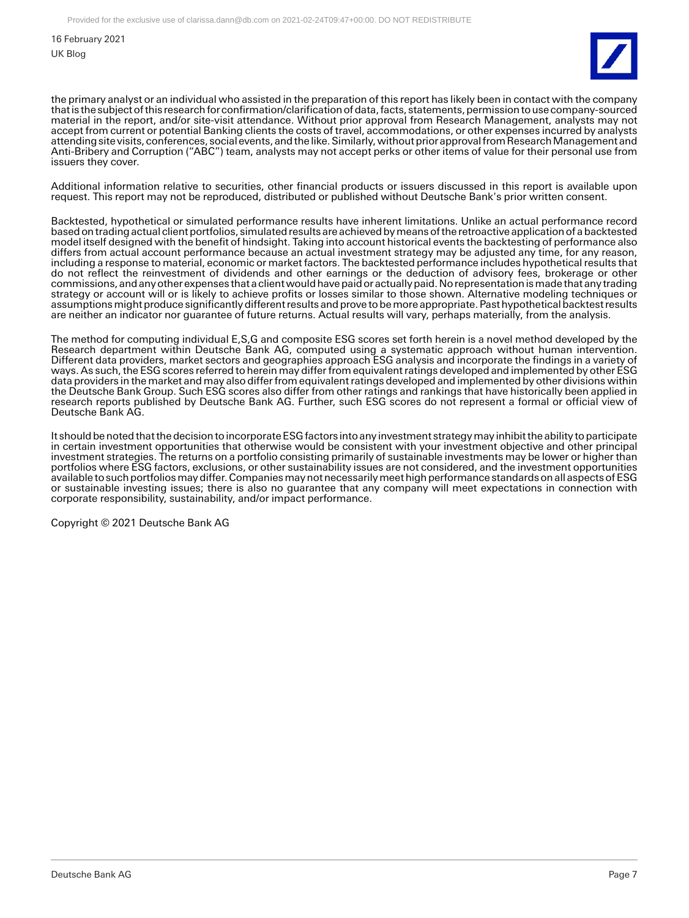16 February 2021

UK Blog



the primary analyst or an individual who assisted in the preparation of this report has likely been in contact with the company that is the subject of this research for confirmation/clarification of data, facts, statements, permission to use company-sourced material in the report, and/or site-visit attendance. Without prior approval from Research Management, analysts may not accept from current or potential Banking clients the costs of travel, accommodations, or other expenses incurred by analysts attending site visits, conferences, social events, and the like. Similarly, without prior approval from Research Management and Anti-Bribery and Corruption ("ABC") team, analysts may not accept perks or other items of value for their personal use from issuers they cover.

Additional information relative to securities, other financial products or issuers discussed in this report is available upon request. This report may not be reproduced, distributed or published without Deutsche Bank's prior written consent.

Backtested, hypothetical or simulated performance results have inherent limitations. Unlike an actual performance record based on trading actual client portfolios, simulated results are achieved by means of the retroactive application of a backtested model itself designed with the benefit of hindsight. Taking into account historical events the backtesting of performance also differs from actual account performance because an actual investment strategy may be adjusted any time, for any reason, including a response to material, economic or market factors. The backtested performance includes hypothetical results that do not reflect the reinvestment of dividends and other earnings or the deduction of advisory fees, brokerage or other commissions, and any other expenses that a client would have paid or actually paid. No representation is made that any trading strategy or account will or is likely to achieve profits or losses similar to those shown. Alternative modeling techniques or assumptions might produce significantly different results and prove to be more appropriate. Past hypothetical backtest results are neither an indicator nor guarantee of future returns. Actual results will vary, perhaps materially, from the analysis.

The method for computing individual E,S,G and composite ESG scores set forth herein is a novel method developed by the Research department within Deutsche Bank AG, computed using a systematic approach without human intervention. Different data providers, market sectors and geographies approach ESG analysis and incorporate the findings in a variety of ways. As such, the ESG scores referred to herein may differ from equivalent ratings developed and implemented by other ESG data providers in the market and may also differ from equivalent ratings developed and implemented by other divisions within the Deutsche Bank Group. Such ESG scores also differ from other ratings and rankings that have historically been applied in research reports published by Deutsche Bank AG. Further, such ESG scores do not represent a formal or official view of Deutsche Bank AG.

It should be noted that the decision to incorporate ESG factors into any investment strategy may inhibit the ability to participate in certain investment opportunities that otherwise would be consistent with your investment objective and other principal investment strategies. The returns on a portfolio consisting primarily of sustainable investments may be lower or higher than portfolios where ESG factors, exclusions, or other sustainability issues are not considered, and the investment opportunities available to such portfolios may differ. Companies may not necessarily meet high performance standards on all aspects of ESG or sustainable investing issues; there is also no guarantee that any company will meet expectations in connection with corporate responsibility, sustainability, and/or impact performance.

Copyright © 2021 Deutsche Bank AG